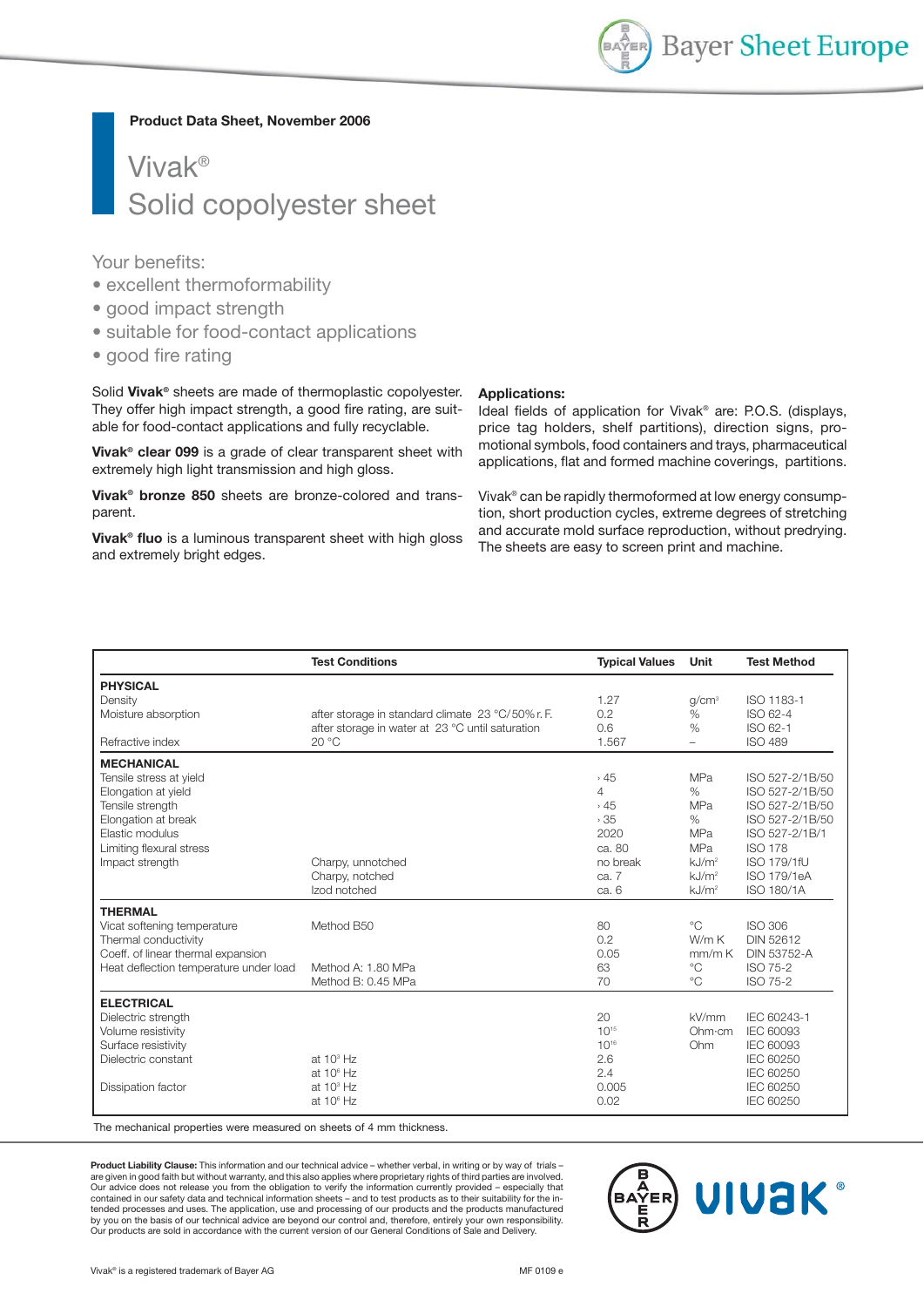

**Product Data Sheet, November 2006**

# Vivak® Solid copolyester sheet

Your benefits:

- excellent thermoformability
- good impact strength
- suitable for food-contact applications
- good fire rating

Solid **Vivak®** sheets are made of thermoplastic copolyester. They offer high impact strength, a good fire rating, are suitable for food-contact applications and fully recyclable.

**Vivak® clear 099** is a grade of clear transparent sheet with extremely high light transmission and high gloss.

**Vivak® bronze 850** sheets are bronze-colored and transparent.

**Vivak® fluo** is a luminous transparent sheet with high gloss and extremely bright edges.

#### **Applications:**

Ideal fields of application for Vivak® are: P.O.S. (displays, price tag holders, shelf partitions), direction signs, promotional symbols, food containers and trays, pharmaceutical applications, flat and formed machine coverings, partitions.

Vivak® can be rapidly thermoformed at low energy consumption, short production cycles, extreme degrees of stretching and accurate mold surface reproduction, without predrying. The sheets are easy to screen print and machine.

|                                                                                                                                                                                  | <b>Test Conditions</b>                                                                                        | <b>Typical Values</b>                                                              | Unit                                                                                                                                | <b>Test Method</b>                                                                                                                                              |
|----------------------------------------------------------------------------------------------------------------------------------------------------------------------------------|---------------------------------------------------------------------------------------------------------------|------------------------------------------------------------------------------------|-------------------------------------------------------------------------------------------------------------------------------------|-----------------------------------------------------------------------------------------------------------------------------------------------------------------|
| <b>PHYSICAL</b><br>Density<br>Moisture absorption<br>Refractive index                                                                                                            | after storage in standard climate 23 °C/50% r.F.<br>after storage in water at 23 °C until saturation<br>20 °C | 1.27<br>0.2<br>0.6<br>1.567                                                        | q/cm <sup>3</sup><br>$\%$<br>$\%$<br>÷                                                                                              | ISO 1183-1<br>ISO 62-4<br>ISO 62-1<br><b>ISO 489</b>                                                                                                            |
| <b>MECHANICAL</b><br>Tensile stress at yield<br>Elongation at yield<br>Tensile strength<br>Elongation at break<br>Elastic modulus<br>Limiting flexural stress<br>Impact strength | Charpy, unnotched<br>Charpy, notched<br>Izod notched                                                          | ,45<br>$\overline{4}$<br>,45<br>35<br>2020<br>ca. 80<br>no break<br>ca. 7<br>ca. 6 | <b>MPa</b><br>$\%$<br><b>MPa</b><br>$\%$<br><b>MPa</b><br><b>MPa</b><br>kJ/m <sup>2</sup><br>kJ/m <sup>2</sup><br>kJ/m <sup>2</sup> | ISO 527-2/1B/50<br>ISO 527-2/1B/50<br>ISO 527-2/1B/50<br>ISO 527-2/1B/50<br>ISO 527-2/1B/1<br><b>ISO 178</b><br>ISO 179/1fU<br><b>ISO 179/1eA</b><br>ISO 180/1A |
| <b>THERMAL</b><br>Vicat softening temperature<br>Thermal conductivity<br>Coeff. of linear thermal expansion<br>Heat deflection temperature under load                            | Method B50<br>Method A: 1.80 MPa<br>Method B: 0.45 MPa                                                        | 80<br>0.2<br>0.05<br>63<br>70                                                      | $^{\circ}C$<br>W/mK<br>mm/mK<br>$^{\circ}C$<br>$^{\circ}C$                                                                          | <b>ISO 306</b><br>DIN 52612<br><b>DIN 53752-A</b><br>ISO 75-2<br><b>ISO 75-2</b>                                                                                |
| <b>ELECTRICAL</b><br>Dielectric strength<br>Volume resistivity<br>Surface resistivity<br>Dielectric constant<br>Dissipation factor                                               | at $103$ Hz<br>at $10^6$ Hz<br>at $103$ Hz<br>at $10^6$ Hz                                                    | 20<br>$10^{15}$<br>$10^{16}$<br>2.6<br>2.4<br>0.005<br>0.02                        | kV/mm<br>Ohm·cm<br>Ohm                                                                                                              | IEC 60243-1<br>IEC 60093<br><b>IEC 60093</b><br><b>IEC 60250</b><br><b>IEC 60250</b><br>IEC 60250<br><b>IEC 60250</b>                                           |

The mechanical properties were measured on sheets of 4 mm thickness.

**Product Liability Clause:** This information and our technical advice – whether verbal, in writing or by way of trials – are given in good faith but without warranty, and this also applies where proprietary rights of third parties are involved. Our advice does not release you from the obligation to verify the information currently provided – especially that contained in our safety data and technical information sheets – and to test products as to their suitability for the intended processes and uses. The application, use and processing of our products and the products manufactured<br>by you on the basis of our technical advice are beyond our control and, therefore, entirely your own responsibili Our products are sold in accordance with the current version of our General Conditions of Sale and Delivery.